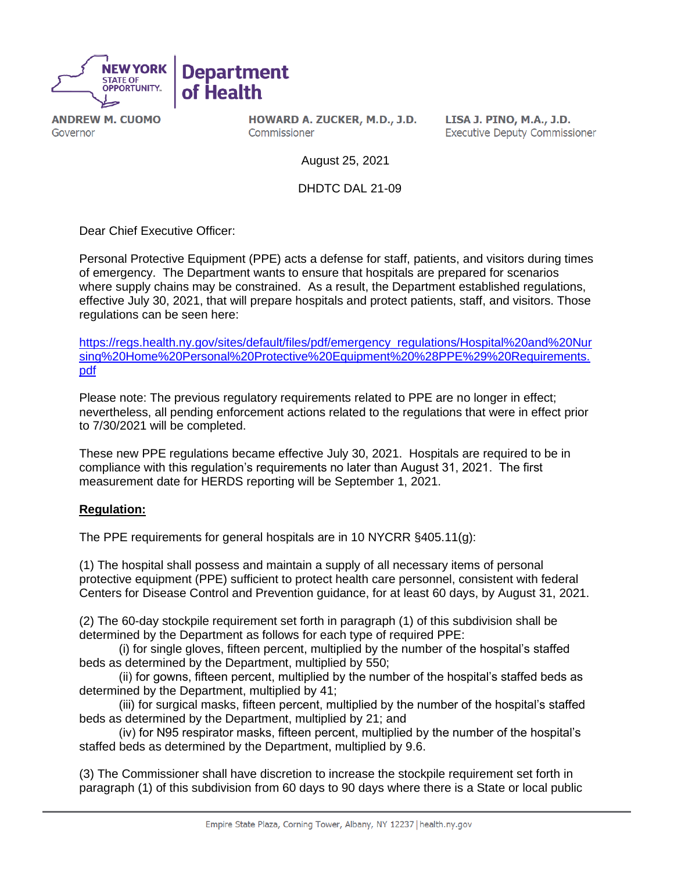

**ANDREW M. CUOMO** Governor

HOWARD A. ZUCKER, M.D., J.D. Commissioner

LISA J. PINO, M.A., J.D. **Executive Deputy Commissioner** 

August 25, 2021

DHDTC DAL 21-09

Dear Chief Executive Officer:

Personal Protective Equipment (PPE) acts a defense for staff, patients, and visitors during times of emergency. The Department wants to ensure that hospitals are prepared for scenarios where supply chains may be constrained. As a result, the Department established regulations, effective July 30, 2021, that will prepare hospitals and protect patients, staff, and visitors. Those regulations can be seen here:

[https://regs.health.ny.gov/sites/default/files/pdf/emergency\\_regulations/Hospital%20and%20Nur](https://regs.health.ny.gov/sites/default/files/pdf/emergency_regulations/Hospital%20and%20Nursing%20Home%20Personal%20Protective%20Equipment%20%28PPE%29%20Requirements.pdf) [sing%20Home%20Personal%20Protective%20Equipment%20%28PPE%29%20Requirements.](https://regs.health.ny.gov/sites/default/files/pdf/emergency_regulations/Hospital%20and%20Nursing%20Home%20Personal%20Protective%20Equipment%20%28PPE%29%20Requirements.pdf) [pdf](https://regs.health.ny.gov/sites/default/files/pdf/emergency_regulations/Hospital%20and%20Nursing%20Home%20Personal%20Protective%20Equipment%20%28PPE%29%20Requirements.pdf)

Please note: The previous regulatory requirements related to PPE are no longer in effect; nevertheless, all pending enforcement actions related to the regulations that were in effect prior to 7/30/2021 will be completed.

These new PPE regulations became effective July 30, 2021. Hospitals are required to be in compliance with this regulation's requirements no later than August 31, 2021. The first measurement date for HERDS reporting will be September 1, 2021.

### **Regulation:**

The PPE requirements for general hospitals are in 10 NYCRR §405.11(g):

(1) The hospital shall possess and maintain a supply of all necessary items of personal protective equipment (PPE) sufficient to protect health care personnel, consistent with federal Centers for Disease Control and Prevention guidance, for at least 60 days, by August 31, 2021.

(2) The 60-day stockpile requirement set forth in paragraph (1) of this subdivision shall be determined by the Department as follows for each type of required PPE:

(i) for single gloves, fifteen percent, multiplied by the number of the hospital's staffed beds as determined by the Department, multiplied by 550;

(ii) for gowns, fifteen percent, multiplied by the number of the hospital's staffed beds as determined by the Department, multiplied by 41;

(iii) for surgical masks, fifteen percent, multiplied by the number of the hospital's staffed beds as determined by the Department, multiplied by 21; and

(iv) for N95 respirator masks, fifteen percent, multiplied by the number of the hospital's staffed beds as determined by the Department, multiplied by 9.6.

(3) The Commissioner shall have discretion to increase the stockpile requirement set forth in paragraph (1) of this subdivision from 60 days to 90 days where there is a State or local public